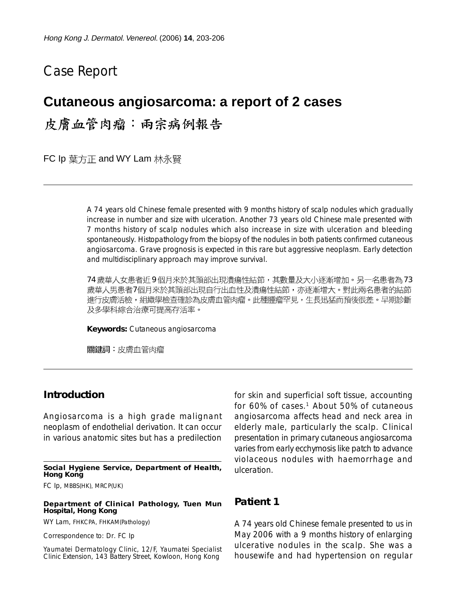# Case Report

# **Cutaneous angiosarcoma: a report of 2 cases**

皮膚血管肉瘤:兩宗病例報告

FC Ip 葉方正 and WY Lam 林永賢

A 74 years old Chinese female presented with 9 months history of scalp nodules which gradually increase in number and size with ulceration. Another 73 years old Chinese male presented with 7 months history of scalp nodules which also increase in size with ulceration and bleeding spontaneously. Histopathology from the biopsy of the nodules in both patients confirmed cutaneous angiosarcoma. Grave prognosis is expected in this rare but aggressive neoplasm. Early detection and multidisciplinary approach may improve survival.

74 歲華人女患者近9個月來於其頭部出現潰瘍性結節,其數量及大小逐漸增加。另一名患者為 73 歳華人男患者7個月來於其頭部出現自行出血性及潰瘍性結節,亦逐漸增大。對此兩名患者的結節 進行皮膚活檢,組織學檢查確診為皮膚血管肉瘤。此種腫瘤罕見,生長迅猛而預後很差。早期診斷 及多學科綜合治療可提高存活率。

**Keywords:** Cutaneous angiosarcoma

關鍵詞:皮膚血管肉瘤

## **Introduction**

Angiosarcoma is a high grade malignant neoplasm of endothelial derivation. It can occur in various anatomic sites but has a predilection

#### **Social Hygiene Service, Department of Health, Hong Kong**

FC Ip, MBBS(HK), MRCP(UK)

#### **Department of Clinical Pathology, Tuen Mun Hospital, Hong Kong**

WY Lam, FHKCPA, FHKAM(Pathology)

Correspondence to: Dr. FC Ip

Yaumatei Dermatology Clinic, 12/F, Yaumatei Specialist Clinic Extension, 143 Battery Street, Kowloon, Hong Kong

for skin and superficial soft tissue, accounting for 60% of cases.<sup>1</sup> About 50% of cutaneous angiosarcoma affects head and neck area in elderly male, particularly the scalp. Clinical presentation in primary cutaneous angiosarcoma varies from early ecchymosis like patch to advance violaceous nodules with haemorrhage and ulceration.

### **Patient 1**

A 74 years old Chinese female presented to us in May 2006 with a 9 months history of enlarging ulcerative nodules in the scalp. She was a housewife and had hypertension on regular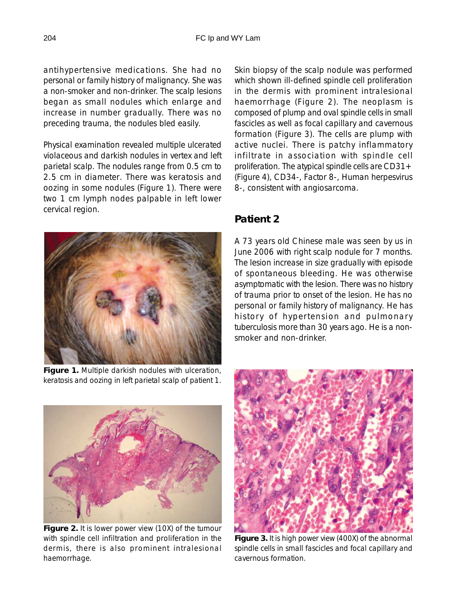antihypertensive medications. She had no personal or family history of malignancy. She was a non-smoker and non-drinker. The scalp lesions began as small nodules which enlarge and increase in number gradually. There was no preceding trauma, the nodules bled easily.

Physical examination revealed multiple ulcerated violaceous and darkish nodules in vertex and left parietal scalp. The nodules range from 0.5 cm to 2.5 cm in diameter. There was keratosis and oozing in some nodules (Figure 1). There were two 1 cm lymph nodes palpable in left lower cervical region.



Figure 1. Multiple darkish nodules with ulceration, keratosis and oozing in left parietal scalp of patient 1. Skin biopsy of the scalp nodule was performed which shown ill-defined spindle cell proliferation in the dermis with prominent intralesional haemorrhage (Figure 2). The neoplasm is composed of plump and oval spindle cells in small fascicles as well as focal capillary and cavernous formation (Figure 3). The cells are plump with active nuclei. There is patchy inflammatory infiltrate in association with spindle cell proliferation. The atypical spindle cells are CD31+ (Figure 4), CD34-, Factor 8-, Human herpesvirus 8-, consistent with angiosarcoma.

# **Patient 2**

A 73 years old Chinese male was seen by us in June 2006 with right scalp nodule for 7 months. The lesion increase in size gradually with episode of spontaneous bleeding. He was otherwise asymptomatic with the lesion. There was no history of trauma prior to onset of the lesion. He has no personal or family history of malignancy. He has history of hypertension and pulmonary tuberculosis more than 30 years ago. He is a nonsmoker and non-drinker.



**Figure 2.** It is lower power view (10X) of the tumour with spindle cell infiltration and proliferation in the dermis, there is also prominent intralesional haemorrhage.



**Figure 3.** It is high power view (400X) of the abnormal spindle cells in small fascicles and focal capillary and cavernous formation.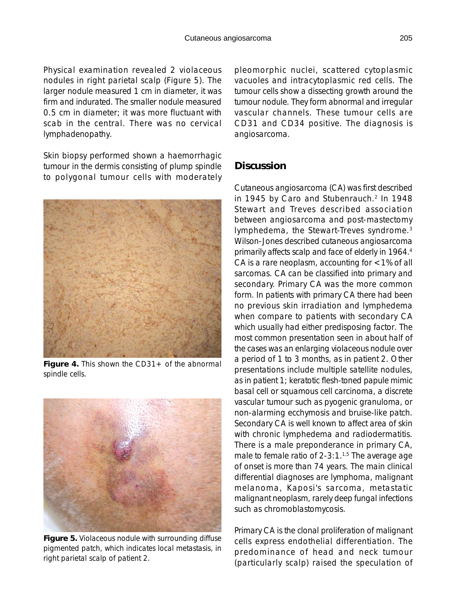Physical examination revealed 2 violaceous nodules in right parietal scalp (Figure 5). The larger nodule measured 1 cm in diameter, it was firm and indurated. The smaller nodule measured 0.5 cm in diameter; it was more fluctuant with scab in the central. There was no cervical lymphadenopathy.

Skin biopsy performed shown a haemorrhagic tumour in the dermis consisting of plump spindle to polygonal tumour cells with moderately



**Figure 4.** This shown the CD31+ of the abnormal spindle cells.



**Figure 5.** Violaceous nodule with surrounding diffuse pigmented patch, which indicates local metastasis, in right parietal scalp of patient 2.

pleomorphic nuclei, scattered cytoplasmic vacuoles and intracytoplasmic red cells. The tumour cells show a dissecting growth around the tumour nodule. They form abnormal and irregular vascular channels. These tumour cells are CD31 and CD34 positive. The diagnosis is angiosarcoma.

## **Discussion**

Cutaneous angiosarcoma (CA) was first described in 1945 by Caro and Stubenrauch.<sup>2</sup> In 1948 Stewart and Treves described association between angiosarcoma and post-mastectomy lymphedema, the Stewart-Treves syndrome.3 Wilson-Jones described cutaneous angiosarcoma primarily affects scalp and face of elderly in 1964.4 CA is a rare neoplasm, accounting for <1% of all sarcomas. CA can be classified into primary and secondary. Primary CA was the more common form. In patients with primary CA there had been no previous skin irradiation and lymphedema when compare to patients with secondary CA which usually had either predisposing factor. The most common presentation seen in about half of the cases was an enlarging violaceous nodule over a period of 1 to 3 months, as in patient 2. Other presentations include multiple satellite nodules, as in patient 1; keratotic flesh-toned papule mimic basal cell or squamous cell carcinoma, a discrete vascular tumour such as pyogenic granuloma, or non-alarming ecchymosis and bruise-like patch. Secondary CA is well known to affect area of skin with chronic lymphedema and radiodermatitis. There is a male preponderance in primary CA, male to female ratio of  $2-3:1.^{1,5}$  The average age of onset is more than 74 years. The main clinical differential diagnoses are lymphoma, malignant melanoma, Kaposi's sarcoma, metastatic malignant neoplasm, rarely deep fungal infections such as chromoblastomycosis.

Primary CA is the clonal proliferation of malignant cells express endothelial differentiation. The predominance of head and neck tumour (particularly scalp) raised the speculation of